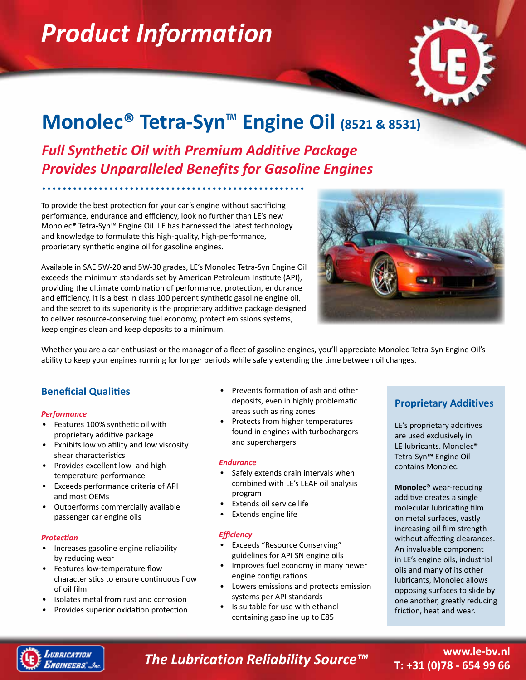# *Product Information*



# **Monolec® Tetra-Syn**™ **Engine Oil (8521 & 8531)**

*Full Synthetic Oil with Premium Additive Package Provides Unparalleled Benefits for Gasoline Engines*

To provide the best protection for your car's engine without sacrificing performance, endurance and efficiency, look no further than LE's new Monolec® Tetra-Syn™ Engine Oil. LE has harnessed the latest technology and knowledge to formulate this high-quality, high-performance, proprietary synthetic engine oil for gasoline engines.

Available in SAE 5W-20 and 5W-30 grades, LE's Monolec Tetra-Syn Engine Oil exceeds the minimum standards set by American Petroleum Institute (API), providing the ultimate combination of performance, protection, endurance and efficiency. It is a best in class 100 percent synthetic gasoline engine oil, and the secret to its superiority is the proprietary additive package designed to deliver resource-conserving fuel economy, protect emissions systems, keep engines clean and keep deposits to a minimum.



Whether you are a car enthusiast or the manager of a fleet of gasoline engines, you'll appreciate Monolec Tetra-Syn Engine Oil's ability to keep your engines running for longer periods while safely extending the time between oil changes.

## **Beneficial Qualities**

### *Performance*

- Features 100% synthetic oil with proprietary additive package
- Exhibits low volatility and low viscosity shear characteristics
- Provides excellent low- and hightemperature performance
- Exceeds performance criteria of API and most OEMs
- Outperforms commercially available passenger car engine oils

### *Protection*

- Increases gasoline engine reliability by reducing wear
- Features low-temperature flow characteristics to ensure continuous flow of oil film
- Isolates metal from rust and corrosion
- Provides superior oxidation protection
- Prevents formation of ash and other deposits, even in highly problematic areas such as ring zones
- Protects from higher temperatures found in engines with turbochargers and superchargers

#### *Endurance*

- Safely extends drain intervals when combined with LE's LEAP oil analysis program
- Extends oil service life
- Extends engine life

### *Efficiency*

- Exceeds "Resource Conserving" guidelines for API SN engine oils
- Improves fuel economy in many newer engine configurations
- Lowers emissions and protects emission systems per API standards
- Is suitable for use with ethanolcontaining gasoline up to E85

## **Proprietary Additives**

LE's proprietary additives are used exclusively in LE lubricants. Monolec® Tetra-Syn™ Engine Oil contains Monolec.

**Monolec®** wear-reducing additive creates a single molecular lubricating film on metal surfaces, vastly increasing oil film strength without affecting clearances. An invaluable component in LE's engine oils, industrial oils and many of its other lubricants, Monolec allows opposing surfaces to slide by one another, greatly reducing friction, heat and wear.



# *The Lubrication Reliability Source™* **www.le-bv.nl**

# **T: +31 (0)78 - 654 99 66**